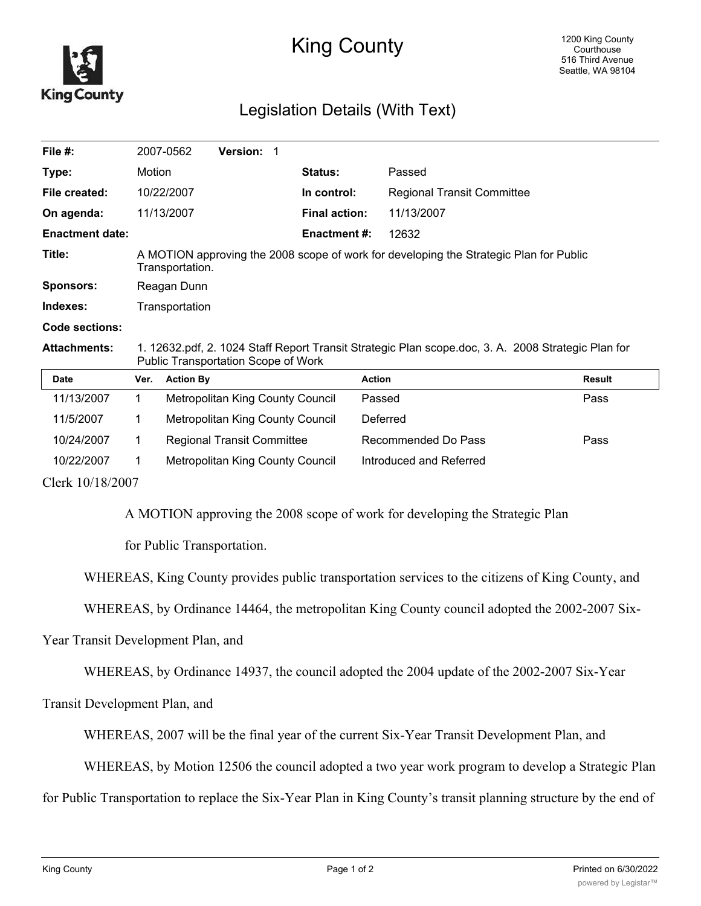

## King County

## Legislation Details (With Text)

| File $#$ :             |                                                                                                                                           | 2007-0562        | <b>Version: 1</b>                 |  |                      |                                   |               |
|------------------------|-------------------------------------------------------------------------------------------------------------------------------------------|------------------|-----------------------------------|--|----------------------|-----------------------------------|---------------|
| Type:                  | Motion                                                                                                                                    |                  |                                   |  | Status:              | Passed                            |               |
| File created:          |                                                                                                                                           | 10/22/2007       |                                   |  | In control:          | <b>Regional Transit Committee</b> |               |
| On agenda:             |                                                                                                                                           | 11/13/2007       |                                   |  | <b>Final action:</b> | 11/13/2007                        |               |
| <b>Enactment date:</b> |                                                                                                                                           |                  |                                   |  | <b>Enactment #:</b>  | 12632                             |               |
| Title:                 | A MOTION approving the 2008 scope of work for developing the Strategic Plan for Public<br>Transportation.                                 |                  |                                   |  |                      |                                   |               |
| <b>Sponsors:</b>       | Reagan Dunn                                                                                                                               |                  |                                   |  |                      |                                   |               |
| Indexes:               | Transportation                                                                                                                            |                  |                                   |  |                      |                                   |               |
| Code sections:         |                                                                                                                                           |                  |                                   |  |                      |                                   |               |
| <b>Attachments:</b>    | 1. 12632.pdf, 2. 1024 Staff Report Transit Strategic Plan scope.doc, 3. A. 2008 Strategic Plan for<br>Public Transportation Scope of Work |                  |                                   |  |                      |                                   |               |
| <b>Date</b>            | Ver.                                                                                                                                      | <b>Action By</b> |                                   |  |                      | <b>Action</b>                     | <b>Result</b> |
| 11/13/2007             | 1.                                                                                                                                        |                  | Metropolitan King County Council  |  |                      | Passed                            | Pass          |
| 11/5/2007              | 1                                                                                                                                         |                  | Metropolitan King County Council  |  |                      | Deferred                          |               |
| 10/24/2007             | 1.                                                                                                                                        |                  | <b>Regional Transit Committee</b> |  |                      | Recommended Do Pass               | Pass          |
| 10/22/2007             | 1                                                                                                                                         |                  | Metropolitan King County Council  |  |                      | Introduced and Referred           |               |
| $C1_{211}$ 10/10/2007  |                                                                                                                                           |                  |                                   |  |                      |                                   |               |

Clerk 10/18/2007

A MOTION approving the 2008 scope of work for developing the Strategic Plan

for Public Transportation.

WHEREAS, King County provides public transportation services to the citizens of King County, and

WHEREAS, by Ordinance 14464, the metropolitan King County council adopted the 2002-2007 Six-

Year Transit Development Plan, and

WHEREAS, by Ordinance 14937, the council adopted the 2004 update of the 2002-2007 Six-Year

Transit Development Plan, and

WHEREAS, 2007 will be the final year of the current Six-Year Transit Development Plan, and

WHEREAS, by Motion 12506 the council adopted a two year work program to develop a Strategic Plan

for Public Transportation to replace the Six-Year Plan in King County's transit planning structure by the end of